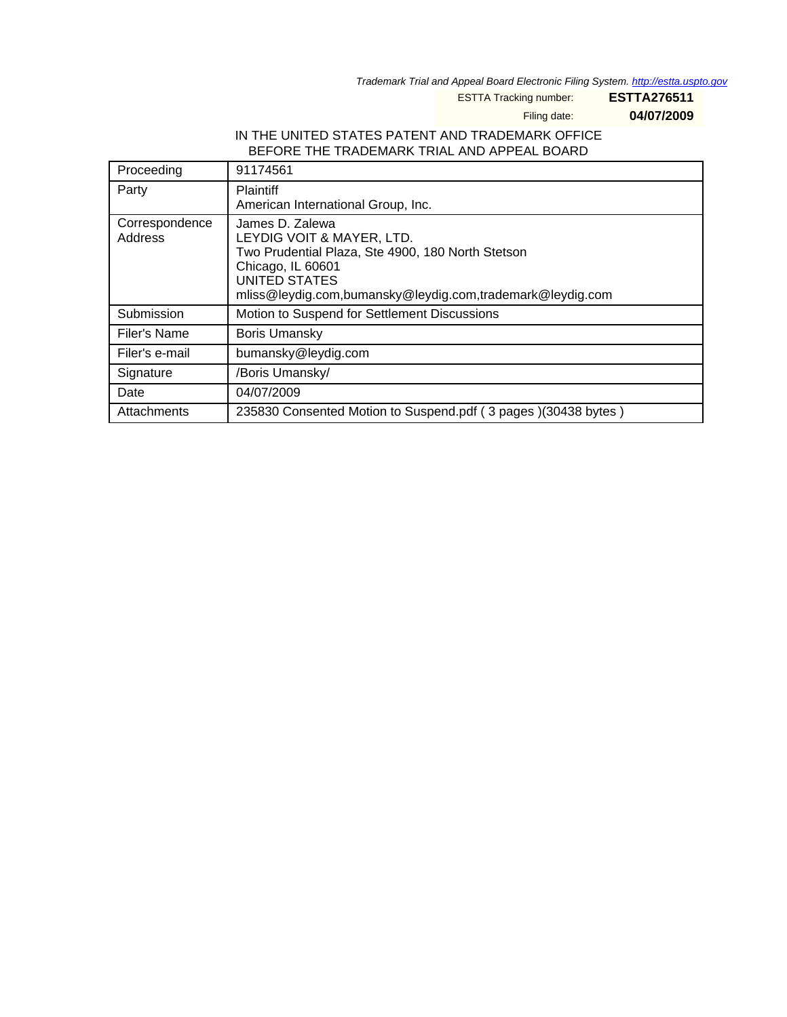Trademark Trial and Appeal Board Electronic Filing System. <http://estta.uspto.gov>

ESTTA Tracking number: **ESTTA276511**

Filing date: **04/07/2009**

### IN THE UNITED STATES PATENT AND TRADEMARK OFFICE BEFORE THE TRADEMARK TRIAL AND APPEAL BOARD

| Proceeding                | 91174561                                                                                                                                                                                             |
|---------------------------|------------------------------------------------------------------------------------------------------------------------------------------------------------------------------------------------------|
| Party                     | <b>Plaintiff</b><br>American International Group, Inc.                                                                                                                                               |
| Correspondence<br>Address | James D. Zalewa<br>LEYDIG VOIT & MAYER, LTD.<br>Two Prudential Plaza, Ste 4900, 180 North Stetson<br>Chicago, IL 60601<br>UNITED STATES<br>mliss@leydig.com,bumansky@leydig.com,trademark@leydig.com |
| Submission                | Motion to Suspend for Settlement Discussions                                                                                                                                                         |
| Filer's Name              | <b>Boris Umansky</b>                                                                                                                                                                                 |
| Filer's e-mail            | bumansky@leydig.com                                                                                                                                                                                  |
| Signature                 | /Boris Umansky/                                                                                                                                                                                      |
| Date                      | 04/07/2009                                                                                                                                                                                           |
| Attachments               | 235830 Consented Motion to Suspend.pdf (3 pages) (30438 bytes)                                                                                                                                       |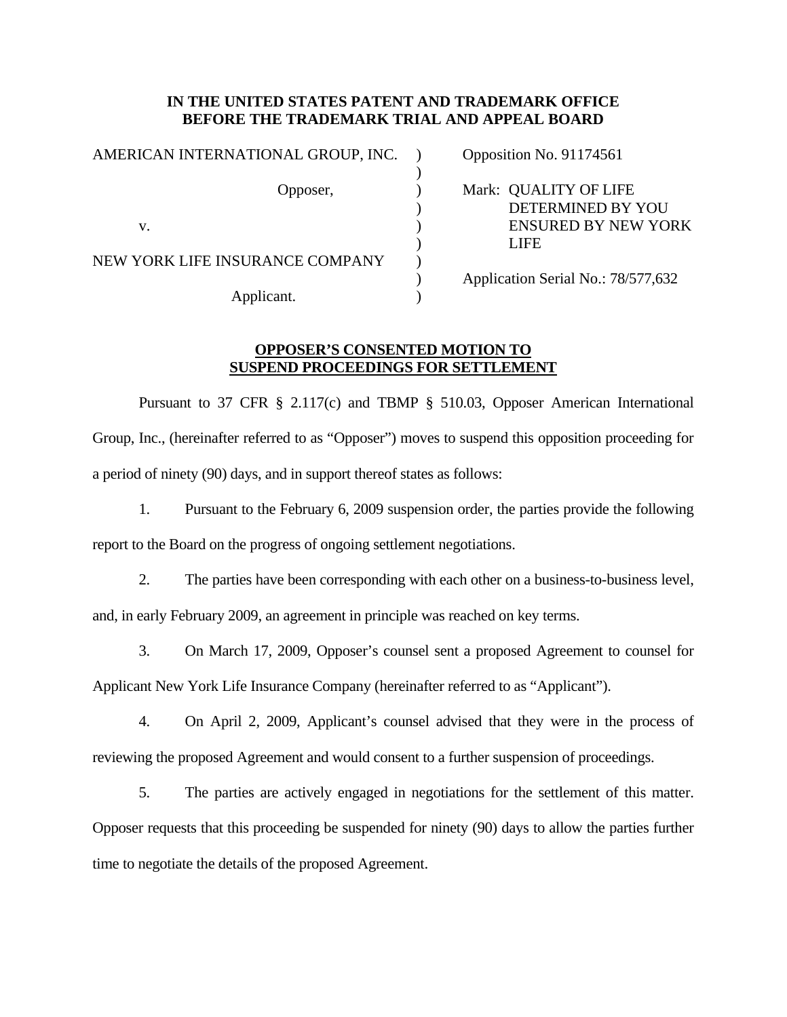#### **IN THE UNITED STATES PATENT AND TRADEMARK OFFICE BEFORE THE TRADEMARK TRIAL AND APPEAL BOARD**

| AMERICAN INTERNATIONAL GROUP, INC. |  | Opposition No. 91174561                    |
|------------------------------------|--|--------------------------------------------|
| Opposer,                           |  | Mark: QUALITY OF LIFE<br>DETERMINED BY YOU |
| v.                                 |  | <b>ENSURED BY NEW YORK</b>                 |
|                                    |  | LIFE                                       |
| NEW YORK LIFE INSURANCE COMPANY    |  |                                            |
|                                    |  | Application Serial No.: 78/577,632         |
| Applicant.                         |  |                                            |

## **OPPOSER'S CONSENTED MOTION TO SUSPEND PROCEEDINGS FOR SETTLEMENT**

 Pursuant to 37 CFR § 2.117(c) and TBMP § 510.03, Opposer American International Group, Inc., (hereinafter referred to as "Opposer") moves to suspend this opposition proceeding for a period of ninety (90) days, and in support thereof states as follows:

1. Pursuant to the February 6, 2009 suspension order, the parties provide the following report to the Board on the progress of ongoing settlement negotiations.

2. The parties have been corresponding with each other on a business-to-business level, and, in early February 2009, an agreement in principle was reached on key terms.

3. On March 17, 2009, Opposer's counsel sent a proposed Agreement to counsel for Applicant New York Life Insurance Company (hereinafter referred to as "Applicant").

4. On April 2, 2009, Applicant's counsel advised that they were in the process of reviewing the proposed Agreement and would consent to a further suspension of proceedings.

5. The parties are actively engaged in negotiations for the settlement of this matter. Opposer requests that this proceeding be suspended for ninety (90) days to allow the parties further time to negotiate the details of the proposed Agreement.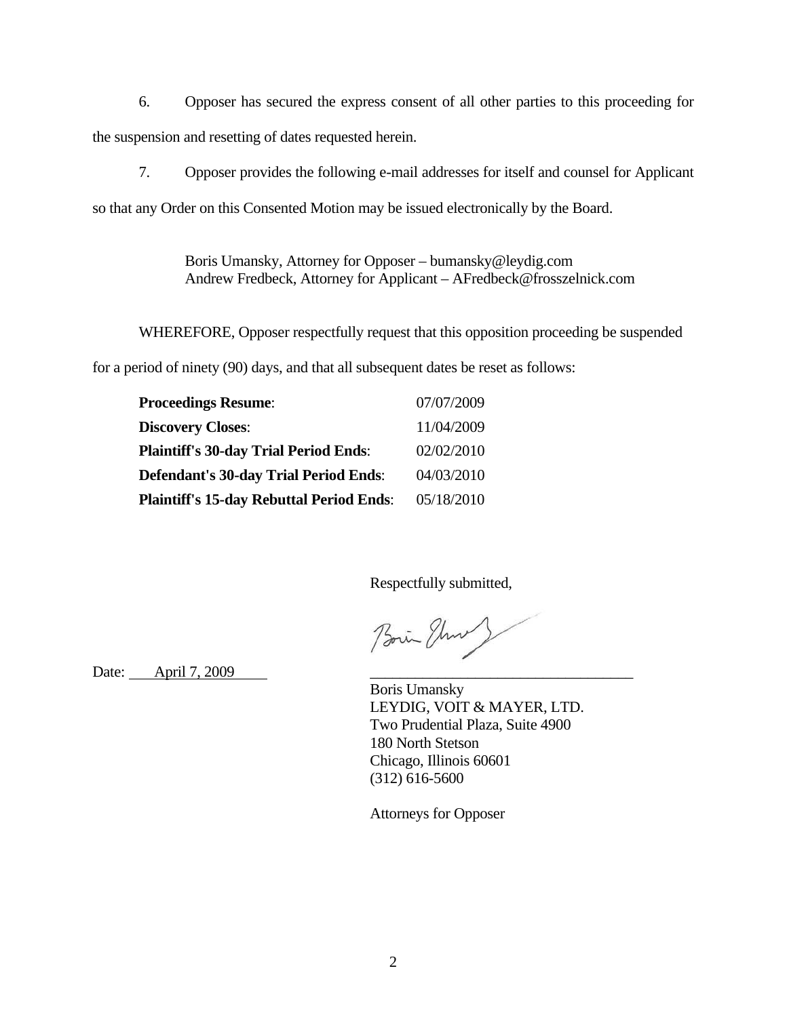6. Opposer has secured the express consent of all other parties to this proceeding for the suspension and resetting of dates requested herein.

7. Opposer provides the following e-mail addresses for itself and counsel for Applicant

so that any Order on this Consented Motion may be issued electronically by the Board.

 Boris Umansky, Attorney for Opposer – bumansky@leydig.com Andrew Fredbeck, Attorney for Applicant – AFredbeck@frosszelnick.com

WHEREFORE, Opposer respectfully request that this opposition proceeding be suspended

for a period of ninety (90) days, and that all subsequent dates be reset as follows:

| <b>Proceedings Resume:</b>                      | 07/07/2009 |
|-------------------------------------------------|------------|
| <b>Discovery Closes:</b>                        | 11/04/2009 |
| <b>Plaintiff's 30-day Trial Period Ends:</b>    | 02/02/2010 |
| <b>Defendant's 30-day Trial Period Ends:</b>    | 04/03/2010 |
| <b>Plaintiff's 15-day Rebuttal Period Ends:</b> | 05/18/2010 |

Respectfully submitted,

Boin Through

Date: <u>April 7, 2009</u>

 Boris Umansky LEYDIG, VOIT & MAYER, LTD. Two Prudential Plaza, Suite 4900 180 North Stetson Chicago, Illinois 60601 (312) 616-5600

Attorneys for Opposer